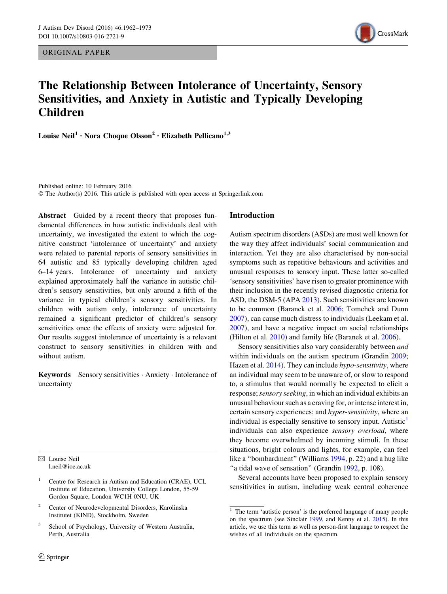ORIGINAL PAPER



# The Relationship Between Intolerance of Uncertainty, Sensory Sensitivities, and Anxiety in Autistic and Typically Developing Children

Louise Neil<sup>1</sup> • Nora Choque Olsson<sup>2</sup> • Elizabeth Pellicano<sup>1,3</sup>

Published online: 10 February 2016 © The Author(s) 2016. This article is published with open access at Springerlink.com

Abstract Guided by a recent theory that proposes fundamental differences in how autistic individuals deal with uncertainty, we investigated the extent to which the cognitive construct 'intolerance of uncertainty' and anxiety were related to parental reports of sensory sensitivities in 64 autistic and 85 typically developing children aged 6–14 years. Intolerance of uncertainty and anxiety explained approximately half the variance in autistic children's sensory sensitivities, but only around a fifth of the variance in typical children's sensory sensitivities. In children with autism only, intolerance of uncertainty remained a significant predictor of children's sensory sensitivities once the effects of anxiety were adjusted for. Our results suggest intolerance of uncertainty is a relevant construct to sensory sensitivities in children with and without autism.

Keywords Sensory sensitivities · Anxiety · Intolerance of uncertainty

 $\boxtimes$  Louise Neil l.neil@ioe.ac.uk

- <sup>1</sup> Centre for Research in Autism and Education (CRAE), UCL Institute of Education, University College London, 55-59 Gordon Square, London WC1H 0NU, UK
- <sup>2</sup> Center of Neurodevelopmental Disorders, Karolinska Institutet (KIND), Stockholm, Sweden
- School of Psychology, University of Western Australia, Perth, Australia

## Introduction

Autism spectrum disorders (ASDs) are most well known for the way they affect individuals' social communication and interaction. Yet they are also characterised by non-social symptoms such as repetitive behaviours and activities and unusual responses to sensory input. These latter so-called 'sensory sensitivities' have risen to greater prominence with their inclusion in the recently revised diagnostic criteria for ASD, the DSM-5 (APA [2013\)](#page-9-0). Such sensitivities are known to be common (Baranek et al. [2006](#page-9-0); Tomchek and Dunn [2007](#page-10-0)), can cause much distress to individuals (Leekam et al. [2007](#page-10-0)), and have a negative impact on social relationships (Hilton et al. [2010\)](#page-10-0) and family life (Baranek et al. [2006](#page-9-0)).

Sensory sensitivities also vary considerably between and within individuals on the autism spectrum (Grandin [2009](#page-10-0); Hazen et al. [2014\)](#page-10-0). They can include *hypo-sensitivity*, where an individual may seem to be unaware of, or slow to respond to, a stimulus that would normally be expected to elicit a response; sensory seeking, in which an individual exhibits an unusual behaviour such as a craving for, or intense interest in, certain sensory experiences; and hyper-sensitivity, where an individual is especially sensitive to sensory input. Autistic<sup>1</sup> individuals can also experience sensory overload, where they become overwhelmed by incoming stimuli. In these situations, bright colours and lights, for example, can feel like a ''bombardment'' (Williams [1994](#page-11-0), p. 22) and a hug like "a tidal wave of sensation" (Grandin [1992](#page-10-0), p. 108).

Several accounts have been proposed to explain sensory sensitivities in autism, including weak central coherence

<sup>&</sup>lt;sup>1</sup> The term 'autistic person' is the preferred language of many people on the spectrum (see Sinclair [1999](#page-10-0), and Kenny et al. [2015\)](#page-10-0). In this article, we use this term as well as person-first language to respect the wishes of all individuals on the spectrum.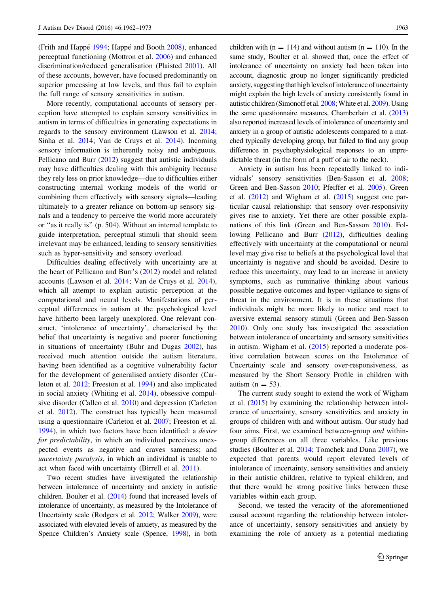(Frith and Happe<sup> $1994$ </sup>; Happe<sup> $\dot{\alpha}$  and Booth [2008\)](#page-10-0), enhanced</sup> perceptual functioning (Mottron et al. [2006](#page-10-0)) and enhanced discrimination/reduced generalisation (Plaisted [2001\)](#page-10-0). All of these accounts, however, have focused predominantly on superior processing at low levels, and thus fail to explain the full range of sensory sensitivities in autism.

More recently, computational accounts of sensory perception have attempted to explain sensory sensitivities in autism in terms of difficulties in generating expectations in regards to the sensory environment (Lawson et al. [2014](#page-10-0); Sinha et al. [2014](#page-10-0); Van de Cruys et al. [2014](#page-10-0)). Incoming sensory information is inherently noisy and ambiguous. Pellicano and Burr [\(2012](#page-10-0)) suggest that autistic individuals may have difficulties dealing with this ambiguity because they rely less on prior knowledge—due to difficulties either constructing internal working models of the world or combining them effectively with sensory signals—leading ultimately to a greater reliance on bottom-up sensory signals and a tendency to perceive the world more accurately or ''as it really is'' (p. 504). Without an internal template to guide interpretation, perceptual stimuli that should seem irrelevant may be enhanced, leading to sensory sensitivities such as hyper-sensitivity and sensory overload.

Difficulties dealing effectively with uncertainty are at the heart of Pellicano and Burr's [\(2012](#page-10-0)) model and related accounts (Lawson et al. [2014](#page-10-0); Van de Cruys et al. [2014](#page-10-0)), which all attempt to explain autistic perception at the computational and neural levels. Manifestations of perceptual differences in autism at the psychological level have hitherto been largely unexplored. One relevant construct, 'intolerance of uncertainty', characterised by the belief that uncertainty is negative and poorer functioning in situations of uncertainty (Buhr and Dugas [2002](#page-9-0)), has received much attention outside the autism literature, having been identified as a cognitive vulnerability factor for the development of generalised anxiety disorder (Carleton et al. [2012](#page-9-0); Freeston et al. [1994\)](#page-9-0) and also implicated in social anxiety (Whiting et al. [2014](#page-11-0)), obsessive compulsive disorder (Calleo et al. [2010\)](#page-9-0) and depression (Carleton et al. [2012](#page-9-0)). The construct has typically been measured using a questionnaire (Carleton et al. [2007](#page-9-0); Freeston et al. [1994\)](#page-9-0), in which two factors have been identified: a desire for predictability, in which an individual perceives unexpected events as negative and craves sameness; and uncertainty paralysis, in which an individual is unable to act when faced with uncertainty (Birrell et al. [2011](#page-9-0)).

Two recent studies have investigated the relationship between intolerance of uncertainty and anxiety in autistic children. Boulter et al. [\(2014\)](#page-9-0) found that increased levels of intolerance of uncertainty, as measured by the Intolerance of Uncertainty scale (Rodgers et al. [2012;](#page-10-0) Walker [2009](#page-11-0)), were associated with elevated levels of anxiety, as measured by the Spence Children's Anxiety scale (Spence, [1998](#page-10-0)), in both children with ( $n = 114$ ) and without autism ( $n = 110$ ). In the same study, Boulter et al. showed that, once the effect of intolerance of uncertainty on anxiety had been taken into account, diagnostic group no longer significantly predicted anxiety, suggesting that high levels of intolerance of uncertainty might explain the high levels of anxiety consistently found in autistic children (Simonoff et al. [2008;](#page-10-0) White et al. [2009](#page-11-0)). Using the same questionnaire measures, Chamberlain et al. ([2013\)](#page-9-0) also reported increased levels of intolerance of uncertainty and anxiety in a group of autistic adolescents compared to a matched typically developing group, but failed to find any group difference in psychophysiological responses to an unpredictable threat (in the form of a puff of air to the neck).

Anxiety in autism has been repeatedly linked to individuals' sensory sensitivities (Ben-Sasson et al. [2008](#page-9-0); Green and Ben-Sasson [2010;](#page-10-0) Pfeiffer et al. [2005](#page-10-0)). Green et al. ([2012\)](#page-10-0) and Wigham et al. [\(2015\)](#page-11-0) suggest one particular causal relationship: that sensory over-responsivity gives rise to anxiety. Yet there are other possible explanations of this link (Green and Ben-Sasson [2010\)](#page-10-0). Following Pellicano and Burr [\(2012](#page-10-0)), difficulties dealing effectively with uncertainty at the computational or neural level may give rise to beliefs at the psychological level that uncertainty is negative and should be avoided. Desire to reduce this uncertainty, may lead to an increase in anxiety symptoms, such as ruminative thinking about various possible negative outcomes and hyper-vigilance to signs of threat in the environment. It is in these situations that individuals might be more likely to notice and react to aversive external sensory stimuli (Green and Ben-Sasson [2010](#page-10-0)). Only one study has investigated the association between intolerance of uncertainty and sensory sensitivities in autism. Wigham et al.  $(2015)$  $(2015)$  reported a moderate positive correlation between scores on the Intolerance of Uncertainty scale and sensory over-responsiveness, as measured by the Short Sensory Profile in children with autism  $(n = 53)$ .

The current study sought to extend the work of Wigham et al. [\(2015](#page-11-0)) by examining the relationship between intolerance of uncertainty, sensory sensitivities and anxiety in groups of children with and without autism. Our study had four aims. First, we examined between-group and withingroup differences on all three variables. Like previous studies (Boulter et al. [2014;](#page-9-0) Tomchek and Dunn [2007\)](#page-10-0), we expected that parents would report elevated levels of intolerance of uncertainty, sensory sensitivities and anxiety in their autistic children, relative to typical children, and that there would be strong positive links between these variables within each group.

Second, we tested the veracity of the aforementioned causal account regarding the relationship between intolerance of uncertainty, sensory sensitivities and anxiety by examining the role of anxiety as a potential mediating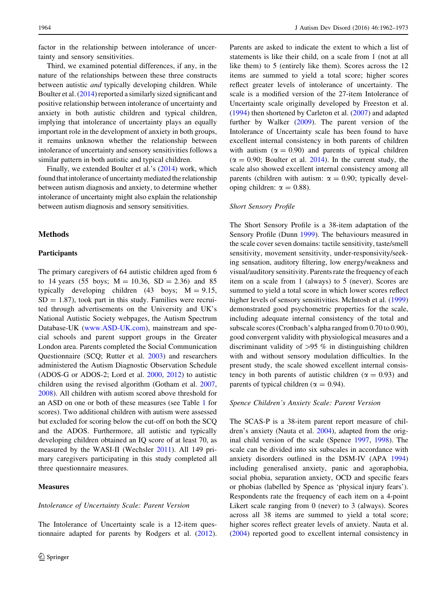factor in the relationship between intolerance of uncertainty and sensory sensitivities.

Third, we examined potential differences, if any, in the nature of the relationships between these three constructs between autistic and typically developing children. While Boulter et al. [\(2014](#page-9-0)) reported a similarly sized significant and positive relationship between intolerance of uncertainty and anxiety in both autistic children and typical children, implying that intolerance of uncertainty plays an equally important role in the development of anxiety in both groups, it remains unknown whether the relationship between intolerance of uncertainty and sensory sensitivities follows a similar pattern in both autistic and typical children.

Finally, we extended Boulter et al.'s ([2014](#page-9-0)) work, which found that intolerance of uncertainty mediated the relationship between autism diagnosis and anxiety, to determine whether intolerance of uncertainty might also explain the relationship between autism diagnosis and sensory sensitivities.

## Methods

## Participants

The primary caregivers of 64 autistic children aged from 6 to 14 years (55 boys;  $M = 10.36$ ,  $SD = 2.36$ ) and 85 typically developing children  $(43 \text{ boys}; \text{ M} = 9.15,$  $SD = 1.87$ , took part in this study. Families were recruited through advertisements on the University and UK's National Autistic Society webpages, the Autism Spectrum Database-UK ([www.ASD-UK.com\)](http://www.ASD-UK.com), mainstream and special schools and parent support groups in the Greater London area. Parents completed the Social Communication Questionnaire (SCQ; Rutter et al. [2003](#page-10-0)) and researchers administered the Autism Diagnostic Observation Schedule (ADOS-G or ADOS-2; Lord et al. [2000,](#page-10-0) [2012\)](#page-10-0) to autistic children using the revised algorithm (Gotham et al. [2007,](#page-10-0) [2008\)](#page-10-0). All children with autism scored above threshold for an ASD on one or both of these measures (see Table [1](#page-3-0) for scores). Two additional children with autism were assessed but excluded for scoring below the cut-off on both the SCQ and the ADOS. Furthermore, all autistic and typically developing children obtained an IQ score of at least 70, as measured by the WASI-II (Wechsler [2011\)](#page-11-0). All 149 primary caregivers participating in this study completed all three questionnaire measures.

## **Measures**

#### Intolerance of Uncertainty Scale: Parent Version

The Intolerance of Uncertainty scale is a 12-item questionnaire adapted for parents by Rodgers et al. [\(2012](#page-10-0)).

Parents are asked to indicate the extent to which a list of statements is like their child, on a scale from 1 (not at all like them) to 5 (entirely like them). Scores across the 12 items are summed to yield a total score; higher scores reflect greater levels of intolerance of uncertainty. The scale is a modified version of the 27-item Intolerance of Uncertainty scale originally developed by Freeston et al. [\(1994](#page-9-0)) then shortened by Carleton et al. ([2007\)](#page-9-0) and adapted further by Walker ([2009\)](#page-11-0). The parent version of the Intolerance of Uncertainty scale has been found to have excellent internal consistency in both parents of children with autism ( $\alpha = 0.90$ ) and parents of typical children  $(\alpha = 0.90;$  Boulter et al. [2014\)](#page-9-0). In the current study, the scale also showed excellent internal consistency among all parents (children with autism:  $\alpha = 0.90$ ; typically developing children:  $\alpha = 0.88$ ).

#### Short Sensory Profile

The Short Sensory Profile is a 38-item adaptation of the Sensory Profile (Dunn [1999\)](#page-9-0). The behaviours measured in the scale cover seven domains: tactile sensitivity, taste/smell sensitivity, movement sensitivity, under-responsivity/seeking sensation, auditory filtering, low energy/weakness and visual/auditory sensitivity. Parents rate the frequency of each item on a scale from 1 (always) to 5 (never). Scores are summed to yield a total score in which lower scores reflect higher levels of sensory sensitivities. McIntosh et al. ([1999\)](#page-10-0) demonstrated good psychometric properties for the scale, including adequate internal consistency of the total and subscale scores (Cronbach's alpha ranged from 0.70 to 0.90), good convergent validity with physiological measures and a discriminant validity of  $>95 \%$  in distinguishing children with and without sensory modulation difficulties. In the present study, the scale showed excellent internal consistency in both parents of autistic children ( $\alpha = 0.93$ ) and parents of typical children ( $\alpha = 0.94$ ).

#### Spence Children's Anxiety Scale: Parent Version

The SCAS-P is a 38-item parent report measure of children's anxiety (Nauta et al. [2004](#page-10-0)), adapted from the original child version of the scale (Spence [1997](#page-10-0), [1998\)](#page-10-0). The scale can be divided into six subscales in accordance with anxiety disorders outlined in the DSM-IV (APA [1994\)](#page-9-0) including generalised anxiety, panic and agoraphobia, social phobia, separation anxiety, OCD and specific fears or phobias (labelled by Spence as 'physical injury fears'). Respondents rate the frequency of each item on a 4-point Likert scale ranging from 0 (never) to 3 (always). Scores across all 38 items are summed to yield a total score; higher scores reflect greater levels of anxiety. Nauta et al. [\(2004](#page-10-0)) reported good to excellent internal consistency in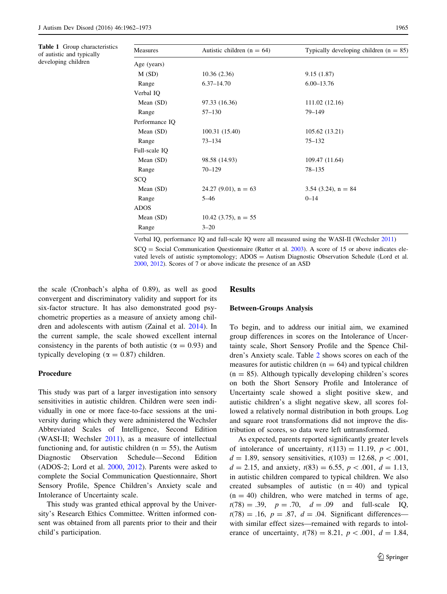<span id="page-3-0"></span>Table 1 Group characteristics of autistic and typically developing children

| Measures       | Autistic children ( $n = 64$ ) | Typically developing children $(n = 85)$ |  |  |
|----------------|--------------------------------|------------------------------------------|--|--|
| Age (years)    |                                |                                          |  |  |
| M(SD)          | 10.36(2.36)                    | 9.15(1.87)                               |  |  |
| Range          | $6.37 - 14.70$                 | $6.00 - 13.76$                           |  |  |
| Verbal IQ      |                                |                                          |  |  |
| Mean $(SD)$    | 97.33 (16.36)                  | 111.02 (12.16)                           |  |  |
| Range          | $57 - 130$                     | 79-149                                   |  |  |
| Performance IQ |                                |                                          |  |  |
| Mean $(SD)$    | 100.31 (15.40)                 | 105.62 (13.21)                           |  |  |
| Range          | $73 - 134$                     | $75 - 132$                               |  |  |
| Full-scale IQ  |                                |                                          |  |  |
| Mean $(SD)$    | 98.58 (14.93)                  | 109.47 (11.64)                           |  |  |
| Range          | $70 - 129$                     | $78 - 135$                               |  |  |
| SCQ            |                                |                                          |  |  |
| Mean (SD)      | 24.27 (9.01), $n = 63$         | 3.54 (3.24), $n = 84$                    |  |  |
| Range          | $5 - 46$                       | $0 - 14$                                 |  |  |
| ADOS           |                                |                                          |  |  |
| Mean $(SD)$    | 10.42 (3.75), $n = 55$         |                                          |  |  |
| Range          | $3 - 20$                       |                                          |  |  |
|                |                                |                                          |  |  |

Verbal IQ, performance IQ and full-scale IQ were all measured using the WASI-II (Wechsler [2011](#page-11-0))  $SCQ = Social Communication Questionnaire (Rutter et al. 2003)$  $SCQ = Social Communication Questionnaire (Rutter et al. 2003)$ . A score of 15 or above indicates elevated levels of autistic symptomology; ADOS = Autism Diagnostic Observation Schedule (Lord et al. [2000,](#page-10-0) [2012](#page-10-0)). Scores of 7 or above indicate the presence of an ASD

the scale (Cronbach's alpha of 0.89), as well as good convergent and discriminatory validity and support for its six-factor structure. It has also demonstrated good psychometric properties as a measure of anxiety among children and adolescents with autism (Zainal et al. [2014](#page-11-0)). In the current sample, the scale showed excellent internal consistency in the parents of both autistic ( $\alpha = 0.93$ ) and typically developing ( $\alpha = 0.87$ ) children.

## Procedure

This study was part of a larger investigation into sensory sensitivities in autistic children. Children were seen individually in one or more face-to-face sessions at the university during which they were administered the Wechsler Abbreviated Scales of Intelligence, Second Edition (WASI-II; Wechsler [2011](#page-11-0)), as a measure of intellectual functioning and, for autistic children ( $n = 55$ ), the Autism Diagnostic Observation Schedule—Second Edition (ADOS-2; Lord et al. [2000](#page-10-0), [2012](#page-10-0)). Parents were asked to complete the Social Communication Questionnaire, Short Sensory Profile, Spence Children's Anxiety scale and Intolerance of Uncertainty scale.

This study was granted ethical approval by the University's Research Ethics Committee. Written informed consent was obtained from all parents prior to their and their child's participation.

#### Results

#### Between-Groups Analysis

To begin, and to address our initial aim, we examined group differences in scores on the Intolerance of Uncertainty scale, Short Sensory Profile and the Spence Children's Anxiety scale. Table [2](#page-4-0) shows scores on each of the measures for autistic children ( $n = 64$ ) and typical children  $(n = 85)$ . Although typically developing children's scores on both the Short Sensory Profile and Intolerance of Uncertainty scale showed a slight positive skew, and autistic children's a slight negative skew, all scores followed a relatively normal distribution in both groups. Log and square root transformations did not improve the distribution of scores, so data were left untransformed.

As expected, parents reported significantly greater levels of intolerance of uncertainty,  $t(113) = 11.19$ ,  $p \lt 0.001$ ,  $d = 1.89$ , sensory sensitivities,  $t(103) = 12.68$ ,  $p < 0.001$ ,  $d = 2.15$ , and anxiety,  $t(83) = 6.55$ ,  $p < .001$ ,  $d = 1.13$ , in autistic children compared to typical children. We also created subsamples of autistic  $(n = 40)$  and typical  $(n = 40)$  children, who were matched in terms of age,  $t(78) = .39$ ,  $p = .70$ ,  $d = .09$  and full-scale IQ,  $t(78) = .16$ ,  $p = .87$ ,  $d = .04$ . Significant differences with similar effect sizes—remained with regards to intolerance of uncertainty,  $t(78) = 8.21$ ,  $p < .001$ ,  $d = 1.84$ ,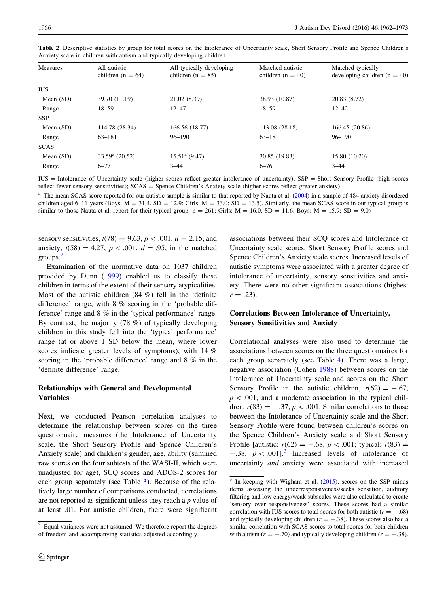| Measures    | All autistic<br>children (n = $64$ ) | All typically developing<br>children ( $n = 85$ ) | Matched autistic<br>children ( $n = 40$ ) | Matched typically<br>developing children $(n = 40)$ |
|-------------|--------------------------------------|---------------------------------------------------|-------------------------------------------|-----------------------------------------------------|
| <b>IUS</b>  |                                      |                                                   |                                           |                                                     |
| Mean (SD)   | 39.70 (11.19)                        | 21.02 (8.39)                                      | 38.93 (10.87)                             | 20.83 (8.72)                                        |
| Range       | $18 - 59$                            | $12 - 47$                                         | $18 - 59$                                 | $12 - 42$                                           |
| <b>SSP</b>  |                                      |                                                   |                                           |                                                     |
| Mean $(SD)$ | 114.78 (28.34)                       | 166.56 (18.77)                                    | 113.08 (28.18)                            | 166.45 (20.86)                                      |
| Range       | $63 - 181$                           | 96–190                                            | 63-181                                    | $96 - 190$                                          |
| <b>SCAS</b> |                                      |                                                   |                                           |                                                     |
| Mean $(SD)$ | $33.59^{\rm a}$ (20.52)              | $15.51^{\rm a}$ (9.47)                            | 30.85 (19.83)                             | 15.80 (10.20)                                       |
| Range       | $6 - 77$                             | $3 - 44$                                          | $6 - 76$                                  | $3 - 44$                                            |

<span id="page-4-0"></span>Table 2 Descriptive statistics by group for total scores on the Intolerance of Uncertainty scale, Short Sensory Profile and Spence Children's Anxiety scale in children with autism and typically developing children

IUS = Intolerance of Uncertainty scale (higher scores reflect greater intolerance of uncertainty); SSP = Short Sensory Profile (high scores reflect fewer sensory sensitivities); SCAS = Spence Children's Anxiety scale (higher scores reflect greater anxiety)

<sup>a</sup> The mean SCAS score reported for our autistic sample is similar to that reported by Nauta et al. ([2004\)](#page-10-0) in a sample of 484 anxiety disordered children aged 6–11 years (Boys:  $M = 31.4$ ,  $SD = 12.9$ ; Girls:  $M = 33.0$ ;  $SD = 13.5$ ). Similarly, the mean SCAS score in our typical group is similar to those Nauta et al. report for their typical group ( $n = 261$ ; Girls:  $M = 16.0$ ,  $SD = 11.6$ ; Boys:  $M = 15.9$ ;  $SD = 9.0$ )

sensory sensitivities,  $t(78) = 9.63$ ,  $p < .001$ ,  $d = 2.15$ , and anxiety,  $t(58) = 4.27$ ,  $p < .001$ ,  $d = .95$ , in the matched groups.<sup>2</sup>

Examination of the normative data on 1037 children provided by Dunn ([1999\)](#page-9-0) enabled us to classify these children in terms of the extent of their sensory atypicalities. Most of the autistic children (84 %) fell in the 'definite difference' range, with 8 % scoring in the 'probable difference' range and 8 % in the 'typical performance' range. By contrast, the majority (78 %) of typically developing children in this study fell into the 'typical performance' range (at or above 1 SD below the mean, where lower scores indicate greater levels of symptoms), with 14 % scoring in the 'probable difference' range and 8 % in the 'definite difference' range.

# Relationships with General and Developmental Variables

Next, we conducted Pearson correlation analyses to determine the relationship between scores on the three questionnaire measures (the Intolerance of Uncertainty scale, the Short Sensory Profile and Spence Children's Anxiety scale) and children's gender, age, ability (summed raw scores on the four subtests of the WASI-II, which were unadjusted for age), SCQ scores and ADOS-2 scores for each group separately (see Table [3\)](#page-5-0). Because of the relatively large number of comparisons conducted, correlations are not reported as significant unless they reach a p value of at least .01. For autistic children, there were significant associations between their SCQ scores and Intolerance of Uncertainty scale scores, Short Sensory Profile scores and Spence Children's Anxiety scale scores. Increased levels of autistic symptoms were associated with a greater degree of intolerance of uncertainty, sensory sensitivities and anxiety. There were no other significant associations (highest  $r = .23$ ).

# Correlations Between Intolerance of Uncertainty, Sensory Sensitivities and Anxiety

Correlational analyses were also used to determine the associations between scores on the three questionnaires for each group separately (see Table [4](#page-5-0)). There was a large, negative association (Cohen [1988](#page-9-0)) between scores on the Intolerance of Uncertainty scale and scores on the Short Sensory Profile in the autistic children,  $r(62) = -.67$ ,  $p\lt 0.001$ , and a moderate association in the typical children,  $r(83) = -.37, p < .001$ . Similar correlations to those between the Intolerance of Uncertainty scale and the Short Sensory Profile were found between children's scores on the Spence Children's Anxiety scale and Short Sensory Profile [autistic:  $r(62) = -.68, p < .001$ ; typical:  $r(83) =$  $-.38, p < .001$ .<sup>3</sup> Increased levels of intolerance of uncertainty and anxiety were associated with increased

<sup>2</sup> Equal variances were not assumed. We therefore report the degrees of freedom and accompanying statistics adjusted accordingly.

 $3$  In keeping with Wigham et al. [\(2015](#page-11-0)), scores on the SSP minus items assessing the underresponsiveness/seeks sensation, auditory filtering and low energy/weak subscales were also calculated to create 'sensory over responsiveness' scores. These scores had a similar correlation with IUS scores to total scores for both autistic ( $r = -.68$ ) and typically developing children ( $r = -.38$ ). These scores also had a similar correlation with SCAS scores to total scores for both children with autism  $(r = -.70)$  and typically developing children  $(r = -.38)$ .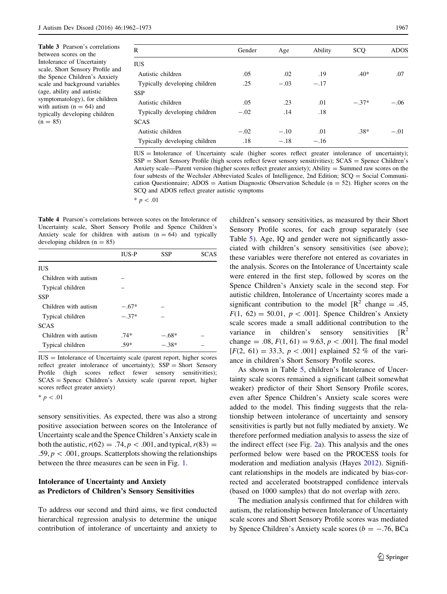<span id="page-5-0"></span>Table 3 Pearson's correlations between scores on the Intolerance of Uncertainty scale, Short Sensory Profile and the Spence Children's Anxiety scale and background variables (age, ability and autistic symptomatology), for children with autism  $(n = 64)$  and typically developing children  $(n = 85)$ 

| R                             | Gender | Age    | Ability | SCQ     | <b>ADOS</b> |
|-------------------------------|--------|--------|---------|---------|-------------|
| <b>IUS</b>                    |        |        |         |         |             |
| Autistic children             | .05    | .02    | .19     | $.40*$  | .07         |
| Typically developing children | .25    | $-.03$ | $-.17$  |         |             |
| <b>SSP</b>                    |        |        |         |         |             |
| Autistic children             | .05    | .23    | .01     | $-.37*$ | $-.06$      |
| Typically developing children | $-.02$ | .14    | .18     |         |             |
| <b>SCAS</b>                   |        |        |         |         |             |
| Autistic children             | $-.02$ | $-.10$ | .01     | $.38*$  | $-.01$      |
| Typically developing children | .18    | $-.18$ | $-.16$  |         |             |

IUS = Intolerance of Uncertainty scale (higher scores reflect greater intolerance of uncertainty); SSP = Short Sensory Profile (high scores reflect fewer sensory sensitivities); SCAS = Spence Children's Anxiety scale—Parent version (higher scores reflect greater anxiety); Ability = Summed raw scores on the four subtests of the Wechsler Abbreviated Scales of Intelligence, 2nd Edition; SCQ = Social Communication Questionnaire;  $ADOS =$  Autism Diagnostic Observation Schedule ( $n = 52$ ). Higher scores on the SCQ and ADOS reflect greater autistic symptoms

 $* p < .01$ 

Table 4 Pearson's correlations between scores on the Intolerance of Uncertainty scale, Short Sensory Profile and Spence Children's Anxiety scale for children with autism  $(n = 64)$  and typically developing children  $(n = 85)$ 

|                      | <b>IUS-P</b> | <b>SSP</b> | SCAS |
|----------------------|--------------|------------|------|
| <b>IUS</b>           |              |            |      |
| Children with autism |              |            |      |
| Typical children     |              |            |      |
| <b>SSP</b>           |              |            |      |
| Children with autism | $-.67*$      |            |      |
| Typical children     | $-.37*$      |            |      |
| <b>SCAS</b>          |              |            |      |
| Children with autism | $.74*$       | $-.68*$    |      |
| Typical children     | .59*         | $-.38*$    |      |
|                      |              |            |      |

 $IUS = Intolerance of Uncertainty scale (parent report, higher scores)$ reflect greater intolerance of uncertainty); SSP = Short Sensory Profile (high scores reflect fewer sensory sensitivities); SCAS = Spence Children's Anxiety scale (parent report, higher scores reflect greater anxiety)

 $* p < .01$ 

sensory sensitivities. As expected, there was also a strong positive association between scores on the Intolerance of Uncertainty scale and the Spence Children's Anxiety scale in both the autistic,  $r(62) = .74, p < .001$ , and typical,  $r(83) =$ .59,  $p < .001$ , groups. Scatterplots showing the relationships between the three measures can be seen in Fig. [1.](#page-6-0)

# Intolerance of Uncertainty and Anxiety as Predictors of Children's Sensory Sensitivities

To address our second and third aims, we first conducted hierarchical regression analysis to determine the unique contribution of intolerance of uncertainty and anxiety to

children's sensory sensitivities, as measured by their Short Sensory Profile scores, for each group separately (see Table [5](#page-6-0)). Age, IQ and gender were not significantly associated with children's sensory sensitivities (see above); these variables were therefore not entered as covariates in the analysis. Scores on the Intolerance of Uncertainty scale were entered in the first step, followed by scores on the Spence Children's Anxiety scale in the second step. For autistic children, Intolerance of Uncertainty scores made a significant contribution to the model  $\mathbb{R}^2$  change = .45,  $F(1, 62) = 50.01$ ,  $p < .001$ . Spence Children's Anxiety scale scores made a small additional contribution to the variance in children's sensory sensitivities  $\mathbb{R}^2$ change = .08,  $F(1, 61) = 9.63$ ,  $p < .001$ . The final model  $[F(2, 61) = 33.3, p < .001]$  explained 52 % of the variance in children's Short Sensory Profile scores.

As shown in Table [5](#page-6-0), children's Intolerance of Uncertainty scale scores remained a significant (albeit somewhat weaker) predictor of their Short Sensory Profile scores, even after Spence Children's Anxiety scale scores were added to the model. This finding suggests that the relationship between intolerance of uncertainty and sensory sensitivities is partly but not fully mediated by anxiety. We therefore performed mediation analysis to assess the size of the indirect effect (see Fig. [2](#page-7-0)a). This analysis and the ones performed below were based on the PROCESS tools for moderation and mediation analysis (Hayes [2012\)](#page-10-0). Significant relationships in the models are indicated by bias-corrected and accelerated bootstrapped confidence intervals (based on 1000 samples) that do not overlap with zero.

The mediation analysis confirmed that for children with autism, the relationship between Intolerance of Uncertainty scale scores and Short Sensory Profile scores was mediated by Spence Children's Anxiety scale scores ( $b = -.76$ , BCa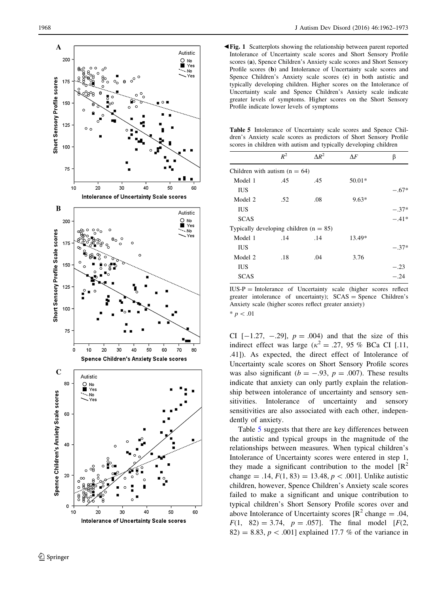<span id="page-6-0"></span>

**Tig. 1** Scatterplots showing the relationship between parent reported Intolerance of Uncertainty scale scores and Short Sensory Profile scores ( a), Spence Children's Anxiety scale scores and Short Sensory Profile scores (b) and Intolerance of Uncertainty scale scores and Spence Children's Anxiety scale scores (c) in both autistic and typically developing children. Higher scores on the Intolerance of Uncertainty scale and Spence Children's Anxiety scale indicate greater levels of symptoms. Higher scores on the Short Sensory Profile indicate lower levels of symptoms

Table 5 Intolerance of Uncertainty scale scores and Spence Children's Anxiety scale scores as predictors of Short Sensory Profile scores in children with autism and typically developing children

|                                          | $R^2$ | $\Delta R^2$ | $\Lambda F$ | β       |
|------------------------------------------|-------|--------------|-------------|---------|
| Children with autism $(n = 64)$          |       |              |             |         |
| Model 1                                  | .45   | .45          | $50.01*$    |         |
| <b>IUS</b>                               |       |              |             | $-.67*$ |
| Model 2                                  | .52   | .08          | $9.63*$     |         |
| <b>IUS</b>                               |       |              |             | $-.37*$ |
| <b>SCAS</b>                              |       |              |             | $-.41*$ |
| Typically developing children $(n = 85)$ |       |              |             |         |
| Model 1                                  | .14   | .14          | 13.49*      |         |
| <b>IUS</b>                               |       |              |             | $-.37*$ |
| Model 2                                  | .18   | .04          | 3.76        |         |
| IUS                                      |       |              |             | $-.23$  |
| <b>SCAS</b>                              |       |              |             | $-.24$  |

IUS-P = Intolerance of Uncertainty scale (higher scores reflect greater intolerance of uncertainty); SCAS = Spence Children's Anxiety scale (higher scores reflect greater anxiety)  $* p < .01$ 

CI  $[-1.27, -0.29], p = .004$  and that the size of this indirect effect was large ( $\kappa^2 = .27$ , 95 % BCa CI [.11, .41]). As expected, the direct effect of Intolerance of Uncertainty scale scores on Short Sensory Profile scores was also significant ( $b = -.93$ ,  $p = .007$ ). These results indicate that anxiety can only partly explain the relationship between intolerance of uncertainty and sensory sensitivities. Intolerance of uncertainty and sensory sensitivities are also associated with each other, independently of anxiety.

Table 5 suggests that there are key differences between the autistic and typical groups in the magnitude of the relationships between measures. When typical children's Intolerance of Uncertainty scores were entered in step 1, they made a significant contribution to the model  $[R^2]$ change = .14,  $F(1, 83) = 13.48, p < .001$ ]. Unlike autistic children, however, Spence Children's Anxiety scale scores failed to make a significant and unique contribution to typical children's Short Sensory Profile scores over and above Intolerance of Uncertainty scores  $[R^2 \text{ change} = .04, ]$  $F(1, 82) = 3.74, p = .057$ . The final model [ $F(2, 82)$ ]  $82$ ) = 8.83,  $p < .001$ ] explained 17.7 % of the variance in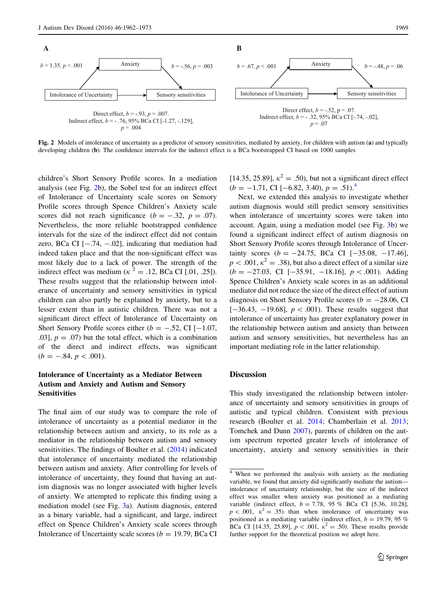<span id="page-7-0"></span>

Fig. 2 Models of intolerance of uncertainty as a predictor of sensory sensitivities, mediated by anxiety, for children with autism (a) and typically developing children (b). The confidence intervals for the indirect effect is a BCa bootstrapped CI based on 1000 samples

children's Short Sensory Profile scores. In a mediation analysis (see Fig. 2b), the Sobel test for an indirect effect of Intolerance of Uncertainty scale scores on Sensory Profile scores through Spence Children's Anxiety scale scores did not reach significance ( $b = -.32$ ,  $p = .07$ ). Nevertheless, the more reliable bootstrapped confidence intervals for the size of the indirect effect did not contain zero, BCa CI  $[-.74, -.02]$ , indicating that mediation had indeed taken place and that the non-significant effect was most likely due to a lack of power. The strength of the indirect effect was medium ( $\kappa^2 = .12$ , BCa CI [.01, .25]). These results suggest that the relationship between intolerance of uncertainty and sensory sensitivities in typical children can also partly be explained by anxiety, but to a lesser extent than in autistic children. There was not a significant direct effect of Intolerance of Uncertainty on Short Sensory Profile scores either ( $b = -.52$ , CI [-1.07, .03],  $p = .07$  but the total effect, which is a combination of the direct and indirect effects, was significant  $(b = -.84, p < .001).$ 

# Intolerance of Uncertainty as a Mediator Between Autism and Anxiety and Autism and Sensory Sensitivities

The final aim of our study was to compare the role of intolerance of uncertainty as a potential mediator in the relationship between autism and anxiety, to its role as a mediator in the relationship between autism and sensory sensitivities. The findings of Boulter et al. [\(2014](#page-9-0)) indicated that intolerance of uncertainty mediated the relationship between autism and anxiety. After controlling for levels of intolerance of uncertainty, they found that having an autism diagnosis was no longer associated with higher levels of anxiety. We attempted to replicate this finding using a mediation model (see Fig. [3](#page-8-0)a). Autism diagnosis, entered as a binary variable, had a significant, and large, indirect effect on Spence Children's Anxiety scale scores through Intolerance of Uncertainty scale scores ( $b = 19.79$ , BCa CI [14.35, 25.89],  $\kappa^2 = .50$ ), but not a significant direct effect  $(b = -1.71, \text{ CI } [-6.82, 3.40), p = .51).$ <sup>4</sup>

Next, we extended this analysis to investigate whether autism diagnosis would still predict sensory sensitivities when intolerance of uncertainty scores were taken into account. Again, using a mediation model (see Fig. [3](#page-8-0)b) we found a significant indirect effect of autism diagnosis on Short Sensory Profile scores through Intolerance of Uncertainty scores ( $b = -24.75$ , BCa CI  $[-35.08, -17.46]$ ,  $p < .001$ ,  $\kappa^2 = .38$ ), but also a direct effect of a similar size  $(b = -27.03, \text{ CI } [-35.91, -18.16], p < .001)$ . Adding Spence Children's Anxiety scale scores in as an additional mediator did not reduce the size of the direct effect of autism diagnosis on Short Sensory Profile scores ( $b = -28.06$ , CI  $[-36.43, -19.68], p < .001$ ). These results suggest that intolerance of uncertainty has greater explanatory power in the relationship between autism and anxiety than between autism and sensory sensitivities, but nevertheless has an important mediating role in the latter relationship.

# **Discussion**

This study investigated the relationship between intolerance of uncertainty and sensory sensitivities in groups of autistic and typical children. Consistent with previous research (Boulter et al. [2014;](#page-9-0) Chamberlain et al. [2013](#page-9-0); Tomchek and Dunn [2007\)](#page-10-0), parents of children on the autism spectrum reported greater levels of intolerance of uncertainty, anxiety and sensory sensitivities in their

<sup>4</sup> When we performed the analysis with anxiety as the mediating variable, we found that anxiety did significantly mediate the autism intolerance of uncertainty relationship, but the size of the indirect effect was smaller when anxiety was positioned as a mediating variable (indirect effect,  $b = 7.78$ , 95 % BCa CI [5.36, 10.28],  $p < .001$ ,  $\kappa^2 = .35$ ) than when intolerance of uncertainty was positioned as a mediating variable (indirect effect,  $b = 19.79$ , 95 % BCa CI [14.35, 25.89],  $p < .001$ ,  $\kappa^2 = .50$ ). These results provide further support for the theoretical position we adopt here.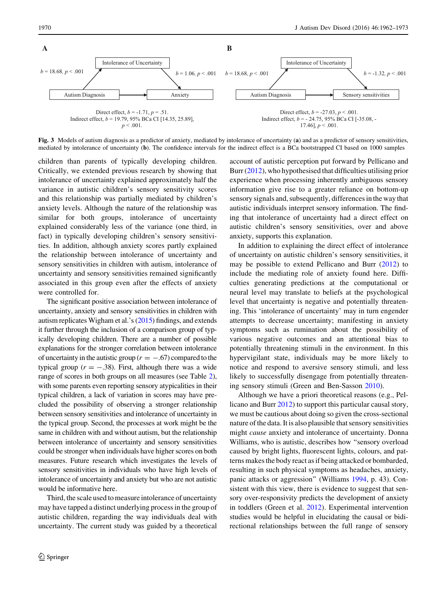<span id="page-8-0"></span>

Fig. 3 Models of autism diagnosis as a predictor of anxiety, mediated by intolerance of uncertainty (a) and as a predictor of sensory sensitivities, mediated by intolerance of uncertainty (b). The confidence intervals for the indirect effect is a BCa bootstrapped CI based on 1000 samples

children than parents of typically developing children. Critically, we extended previous research by showing that intolerance of uncertainty explained approximately half the variance in autistic children's sensory sensitivity scores and this relationship was partially mediated by children's anxiety levels. Although the nature of the relationship was similar for both groups, intolerance of uncertainty explained considerably less of the variance (one third, in fact) in typically developing children's sensory sensitivities. In addition, although anxiety scores partly explained the relationship between intolerance of uncertainty and sensory sensitivities in children with autism, intolerance of uncertainty and sensory sensitivities remained significantly associated in this group even after the effects of anxiety were controlled for.

The significant positive association between intolerance of uncertainty, anxiety and sensory sensitivities in children with autism replicates Wigham et al.'s ([2015\)](#page-11-0) findings, and extends it further through the inclusion of a comparison group of typically developing children. There are a number of possible explanations for the stronger correlation between intolerance of uncertainty in the autistic group ( $r = -.67$ ) compared to the typical group ( $r = -.38$ ). First, although there was a wide range of scores in both groups on all measures (see Table [2](#page-4-0)), with some parents even reporting sensory atypicalities in their typical children, a lack of variation in scores may have precluded the possibility of observing a stronger relationship between sensory sensitivities and intolerance of uncertainty in the typical group. Second, the processes at work might be the same in children with and without autism, but the relationship between intolerance of uncertainty and sensory sensitivities could be stronger when individuals have higher scores on both measures. Future research which investigates the levels of sensory sensitivities in individuals who have high levels of intolerance of uncertainty and anxiety but who are not autistic would be informative here.

Third, the scale used to measure intolerance of uncertainty may have tapped a distinct underlying process in the group of autistic children, regarding the way individuals deal with uncertainty. The current study was guided by a theoretical account of autistic perception put forward by Pellicano and Burr [\(2012](#page-10-0)), who hypothesised that difficulties utilising prior experience when processing inherently ambiguous sensory information give rise to a greater reliance on bottom-up sensory signals and, subsequently, differences in the way that autistic individuals interpret sensory information. The finding that intolerance of uncertainty had a direct effect on autistic children's sensory sensitivities, over and above anxiety, supports this explanation.

In addition to explaining the direct effect of intolerance of uncertainty on autistic children's sensory sensitivities, it may be possible to extend Pellicano and Burr ([2012\)](#page-10-0) to include the mediating role of anxiety found here. Difficulties generating predictions at the computational or neural level may translate to beliefs at the psychological level that uncertainty is negative and potentially threatening. This 'intolerance of uncertainty' may in turn engender attempts to decrease uncertainty; manifesting in anxiety symptoms such as rumination about the possibility of various negative outcomes and an attentional bias to potentially threatening stimuli in the environment. In this hypervigilant state, individuals may be more likely to notice and respond to aversive sensory stimuli, and less likely to successfully disengage from potentially threatening sensory stimuli (Green and Ben-Sasson [2010](#page-10-0)).

Although we have a priori theoretical reasons (e.g., Pellicano and Burr [2012\)](#page-10-0) to support this particular causal story, we must be cautious about doing so given the cross-sectional nature of the data. It is also plausible that sensory sensitivities might cause anxiety and intolerance of uncertainty. Donna Williams, who is autistic, describes how ''sensory overload caused by bright lights, fluorescent lights, colours, and patterns makes the body react as if being attacked or bombarded, resulting in such physical symptoms as headaches, anxiety, panic attacks or aggression'' (Williams [1994,](#page-11-0) p. 43). Consistent with this view, there is evidence to suggest that sensory over-responsivity predicts the development of anxiety in toddlers (Green et al. [2012\)](#page-10-0). Experimental intervention studies would be helpful in elucidating the causal or bidirectional relationships between the full range of sensory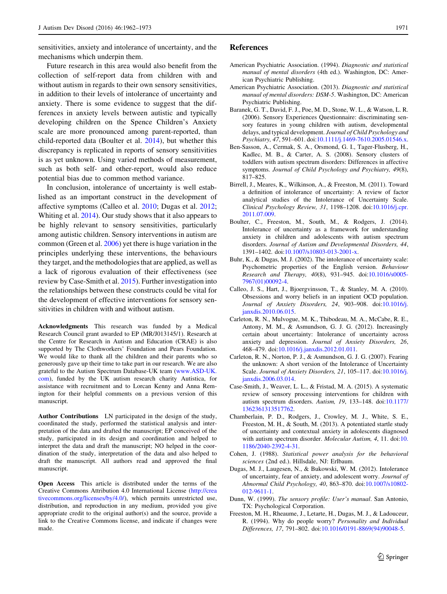<span id="page-9-0"></span>sensitivities, anxiety and intolerance of uncertainty, and the mechanisms which underpin them.

Future research in this area would also benefit from the collection of self-report data from children with and without autism in regards to their own sensory sensitivities, in addition to their levels of intolerance of uncertainty and anxiety. There is some evidence to suggest that the differences in anxiety levels between autistic and typically developing children on the Spence Children's Anxiety scale are more pronounced among parent-reported, than child-reported data (Boulter et al. 2014), but whether this discrepancy is replicated in reports of sensory sensitivities is as yet unknown. Using varied methods of measurement, such as both self- and other-report, would also reduce potential bias due to common method variance.

In conclusion, intolerance of uncertainty is well established as an important construct in the development of affective symptoms (Calleo et al. 2010; Dugas et al. 2012; Whiting et al. [2014\)](#page-11-0). Our study shows that it also appears to be highly relevant to sensory sensitivities, particularly among autistic children. Sensory interventions in autism are common (Green et al. [2006](#page-10-0)) yet there is huge variation in the principles underlying these interventions, the behaviours they target, and the methodologies that are applied, as well as a lack of rigorous evaluation of their effectiveness (see review by Case-Smith et al. 2015). Further investigation into the relationships between these constructs could be vital for the development of effective interventions for sensory sensitivities in children with and without autism.

Acknowledgments This research was funded by a Medical Research Council grant awarded to EP (MR/J013145/1). Research at the Centre for Research in Autism and Education (CRAE) is also supported by The Clothworkers' Foundation and Pears Foundation. We would like to thank all the children and their parents who so generously gave up their time to take part in our research. We are also grateful to the Autism Spectrum Database-UK team ([www.ASD-UK.](http://www.ASD-UK.com) [com\)](http://www.ASD-UK.com), funded by the UK autism research charity Autistica, for assistance with recruitment and to Lorcan Kenny and Anna Remington for their helpful comments on a previous version of this manuscript.

Author Contributions LN participated in the design of the study, coordinated the study, performed the statistical analysis and interpretation of the data and drafted the manuscript; EP conceived of the study, participated in its design and coordination and helped to interpret the data and draft the manuscript; NO helped in the coordination of the study, interpretation of the data and also helped to draft the manuscript. All authors read and approved the final manuscript.

Open Access This article is distributed under the terms of the Creative Commons Attribution 4.0 International License ([http://crea](http://creativecommons.org/licenses/by/4.0/) [tivecommons.org/licenses/by/4.0/\)](http://creativecommons.org/licenses/by/4.0/), which permits unrestricted use, distribution, and reproduction in any medium, provided you give appropriate credit to the original author(s) and the source, provide a link to the Creative Commons license, and indicate if changes were made.

#### References

- American Psychiatric Association. (1994). Diagnostic and statistical manual of mental disorders (4th ed.). Washington, DC: American Psychiatric Publishing.
- American Psychiatric Association. (2013). Diagnostic and statistical manual of mental disorders: DSM-5. Washington, DC: American Psychiatric Publishing.
- Baranek, G. T., David, F. J., Poe, M. D., Stone, W. L., & Watson, L. R. (2006). Sensory Experiences Questionnaire: discriminating sensory features in young children with autism, developmental delays, and typical development. Journal of Child Psychology and Psychiatry, 47, 591–601. doi[:10.1111/j.1469-7610.2005.01546.x](http://dx.doi.org/10.1111/j.1469-7610.2005.01546.x).
- Ben-Sasson, A., Cermak, S. A., Orsmond, G. I., Tager-Flusberg, H., Kadlec, M. B., & Carter, A. S. (2008). Sensory clusters of toddlers with autism spectrum disorders: Differences in affective symptoms. Journal of Child Psychology and Psychiatry, 49(8), 817–825.
- Birrell, J., Meares, K., Wilkinson, A., & Freeston, M. (2011). Toward a definition of intolerance of uncertainty: A review of factor analytical studies of the Intolerance of Uncertainty Scale. Clinical Psychology Review, 31, 1198–1208. doi:[10.1016/j.cpr.](http://dx.doi.org/10.1016/j.cpr.2011.07.009) [2011.07.009](http://dx.doi.org/10.1016/j.cpr.2011.07.009).
- Boulter, C., Freeston, M., South, M., & Rodgers, J. (2014). Intolerance of uncertainty as a framework for understanding anxiety in children and adolescents with autism spectrum disorders. Journal of Autism and Developmental Disorders, 44, 1391–1402. doi[:10.1007/s10803-013-2001-x](http://dx.doi.org/10.1007/s10803-013-2001-x).
- Buhr, K., & Dugas, M. J. (2002). The intolerance of uncertainty scale: Psychometric properties of the English version. Behaviour Research and Therapy, 40(8), 931–945. doi[:10.1016/s0005-](http://dx.doi.org/10.1016/s0005-7967(01)00092-4) [7967\(01\)00092-4](http://dx.doi.org/10.1016/s0005-7967(01)00092-4).
- Calleo, J. S., Hart, J., Bjoergvinsson, T., & Stanley, M. A. (2010). Obsessions and worry beliefs in an inpatient OCD population. Journal of Anxiety Disorders, 24, 903–908. doi:[10.1016/j.](http://dx.doi.org/10.1016/j.janxdis.2010.06.015) [janxdis.2010.06.015](http://dx.doi.org/10.1016/j.janxdis.2010.06.015).
- Carleton, R. N., Mulvogue, M. K., Thibodeau, M. A., McCabe, R. E., Antony, M. M., & Asmundson, G. J. G. (2012). Increasingly certain about uncertainty: Intolerance of uncertainty across anxiety and depression. Journal of Anxiety Disorders, 26, 468–479. doi:[10.1016/j.janxdis.2012.01.011](http://dx.doi.org/10.1016/j.janxdis.2012.01.011).
- Carleton, R. N., Norton, P. J., & Asmundson, G. J. G. (2007). Fearing the unknown: A short version of the Intolerance of Uncertainty Scale. Journal of Anxiety Disorders, 21, 105-117. doi:[10.1016/j.](http://dx.doi.org/10.1016/j.janxdis.2006.03.014) [janxdis.2006.03.014](http://dx.doi.org/10.1016/j.janxdis.2006.03.014).
- Case-Smith, J., Weaver, L. L., & Fristad, M. A. (2015). A systematic review of sensory processing interventions for children with autism spectrum disorders. Autism, 19, 133–148. doi[:10.1177/](http://dx.doi.org/10.1177/1362361313517762) [1362361313517762.](http://dx.doi.org/10.1177/1362361313517762)
- Chamberlain, P. D., Rodgers, J., Crowley, M. J., White, S. E., Freeston, M. H., & South, M. (2013). A potentiated startle study of uncertainty and contextual anxiety in adolescents diagnosed with autism spectrum disorder. Molecular Autism, 4, 11. doi:[10.](http://dx.doi.org/10.1186/2040-2392-4-31) [1186/2040-2392-4-31.](http://dx.doi.org/10.1186/2040-2392-4-31)
- Cohen, J. (1988). Statistical power analysis for the behavioral sciences (2nd ed.). Hillsdale, NJ: Erlbaum.
- Dugas, M. J., Laugesen, N., & Bukowski, W. M. (2012). Intolerance of uncertainty, fear of anxiety, and adolescent worry. Journal of Abnormal Child Psychology, 40, 863–870. doi[:10.1007/s10802-](http://dx.doi.org/10.1007/s10802-012-9611-1) [012-9611-1.](http://dx.doi.org/10.1007/s10802-012-9611-1)
- Dunn, W. (1999). The sensory profile: User's manual. San Antonio, TX: Psychological Corporation.
- Freeston, M. H., Rheaume, J., Letarte, H., Dugas, M. J., & Ladouceur, R. (1994). Why do people worry? Personality and Individual Differences, 17, 791–802. doi[:10.1016/0191-8869\(94\)90048-5](http://dx.doi.org/10.1016/0191-8869(94)90048-5).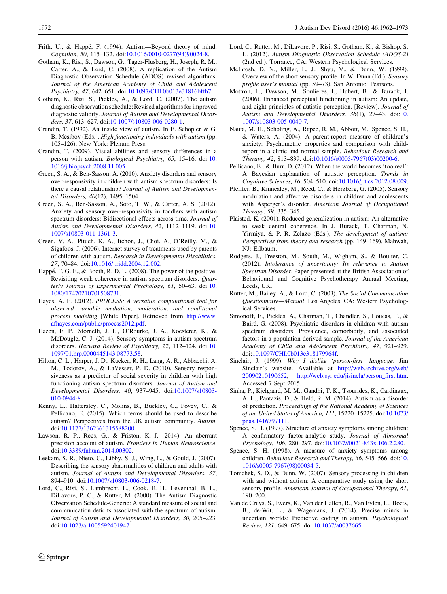- <span id="page-10-0"></span>Frith, U., & Happé, F. (1994). Autism-Beyond theory of mind. Cognition, 50, 115–132. doi[:10.1016/0010-0277\(94\)90024-8](http://dx.doi.org/10.1016/0010-0277(94)90024-8).
	- Gotham, K., Risi, S., Dawson, G., Tager-Flusberg, H., Joseph, R. M., Carter, A., & Lord, C. (2008). A replication of the Autism Diagnostic Observation Schedule (ADOS) revised algorithms. Journal of the American Academy of Child and Adolescent Psychiatry, 47, 642–651. doi:[10.1097/CHI.0b013e31816bffb7.](http://dx.doi.org/10.1097/CHI.0b013e31816bffb7)
	- Gotham, K., Risi, S., Pickles, A., & Lord, C. (2007). The autism diagnostic observation schedule: Revised algorithms for improved diagnostic validity. Journal of Autism and Developmental Disorders, 37, 613–627. doi:[10.1007/s10803-006-0280-1](http://dx.doi.org/10.1007/s10803-006-0280-1).
	- Grandin, T. (1992). An inside view of autism. In E. Schopler & G. B. Mesibov (Eds.), High functioning individuals with autism (pp. 105–126). New York: Plenum Press.
	- Grandin, T. (2009). Visual abilities and sensory differences in a person with autism. Biological Psychiatry, 65, 15–16. doi:[10.](http://dx.doi.org/10.1016/j.biopsych.2008.11.005) [1016/j.biopsych.2008.11.005.](http://dx.doi.org/10.1016/j.biopsych.2008.11.005)
	- Green, S. A., & Ben-Sasson, A. (2010). Anxiety disorders and sensory over-responsivity in children with autism spectrum disorders: Is there a causal relationship? Journal of Autism and Developmental Disorders, 40(12), 1495–1504.
	- Green, S. A., Ben-Sasson, A., Soto, T. W., & Carter, A. S. (2012). Anxiety and sensory over-responsivity in toddlers with autism spectrum disorders: Bidirectional effects across time. Journal of Autism and Developmental Disorders, 42, 1112–1119. doi:[10.](http://dx.doi.org/10.1007/s10803-011-1361-3) [1007/s10803-011-1361-3](http://dx.doi.org/10.1007/s10803-011-1361-3).
	- Green, V. A., Pituch, K. A., Itchon, J., Choi, A., O'Reilly, M., & Sigafoos, J. (2006). Internet survey of treatments used by parents of children with autism. Research in Developmental Disabilities, 27, 70–84. doi:[10.1016/j.ridd.2004.12.002](http://dx.doi.org/10.1016/j.ridd.2004.12.002).
	- Happé, F. G. E., & Booth, R. D. L. (2008). The power of the positive: Revisiting weak coherence in autism spectrum disorders. Quar-terly Journal of Experimental Psychology, 61, 50-63. doi:[10.](http://dx.doi.org/10.1080/17470210701508731) [1080/17470210701508731](http://dx.doi.org/10.1080/17470210701508731).
	- Hayes, A. F. (2012). PROCESS: A versatile computational tool for observed variable mediation, moderation, and conditional process modeling [White Paper]. Retrieved from [http://www.](http://www.afhayes.com/public/process2012.pdf) [afhayes.com/public/process2012.pdf.](http://www.afhayes.com/public/process2012.pdf)
	- Hazen, E. P., Stornelli, J. L., O'Rourke, J. A., Koesterer, K., & McDougle, C. J. (2014). Sensory symptoms in autism spectrum disorders. Harvard Review of Psychiatry, 22, 112-124. doi:[10.](http://dx.doi.org/10.1097/01.hrp.0000445143.08773.58) [1097/01.hrp.0000445143.08773.58.](http://dx.doi.org/10.1097/01.hrp.0000445143.08773.58)
	- Hilton, C. L., Harper, J. D., Kueker, R. H., Lang, A. R., Abbacchi, A. M., Todorov, A., & LaVesser, P. D. (2010). Sensory responsiveness as a predictor of social severity in children with high functioning autism spectrum disorders. Journal of Autism and Developmental Disorders, 40, 937–945. doi:[10.1007/s10803-](http://dx.doi.org/10.1007/s10803-010-0944-8) [010-0944-8.](http://dx.doi.org/10.1007/s10803-010-0944-8)
	- Kenny, L., Hattersley, C., Molins, B., Buckley, C., Povey, C., & Pellicano, E. (2015). Which terms should be used to describe autism? Perspectives from the UK autism community. Autism. doi[:10.1177/1362361315588200.](http://dx.doi.org/10.1177/1362361315588200)
	- Lawson, R. P., Rees, G., & Friston, K. J. (2014). An aberrant precision account of autism. Frontiers in Human Neuroscience. doi[:10.3389/fnhum.2014.00302.](http://dx.doi.org/10.3389/fnhum.2014.00302)
	- Leekam, S. R., Nieto, C., Libby, S. J., Wing, L., & Gould, J. (2007). Describing the sensory abnormalities of children and adults with autism. Journal of Autism and Developmental Disorders, 37, 894–910. doi:[10.1007/s10803-006-0218-7.](http://dx.doi.org/10.1007/s10803-006-0218-7)
	- Lord, C., Risi, S., Lambrecht, L., Cook, E. H., Leventhal, B. L., DiLavore, P. C., & Rutter, M. (2000). The Autism Diagnostic Observation Schedule-Generic: A standard measure of social and communication deficits associated with the spectrum of autism. Journal of Autism and Developmental Disorders, 30, 205–223. doi[:10.1023/a:1005592401947](http://dx.doi.org/10.1023/a:1005592401947).
- Lord, C., Rutter, M., DiLavore, P., Risi, S., Gotham, K., & Bishop, S. L. (2012). Autism Diagnostic Observation Schedule (ADOS-2) (2nd ed.). Torrance, CA: Western Psychological Services.
- McIntosh, D. N., Miller, L. J., Shyu, V., & Dunn, W. (1999). Overview of the short sensory profile. In W. Dunn (Ed.), Sensory profile user's manual (pp. 59–73). San Antonio: Pearsons.
- Mottron, L., Dawson, M., Soulieres, I., Hubert, B., & Burack, J. (2006). Enhanced perceptual functioning in autism: An update, and eight principles of autistic perception. [Review]. Journal of Autism and Developmental Disorders, 36(1), 27–43. doi:[10.](http://dx.doi.org/10.1007/s10803-005-0040-7) [1007/s10803-005-0040-7](http://dx.doi.org/10.1007/s10803-005-0040-7).
- Nauta, M. H., Scholing, A., Rapee, R. M., Abbott, M., Spence, S. H., & Waters, A. (2004). A parent-report measure of children's anxiety: Psychometric properties and comparison with childreport in a clinic and normal sample. Behaviour Research and Therapy, 42, 813–839. doi:[10.1016/s0005-7967\(03\)00200-6.](http://dx.doi.org/10.1016/s0005-7967(03)00200-6)
- Pellicano, E., & Burr, D. (2012). When the world becomes 'too real': A Bayesian explanation of autistic perception. Trends in Cognitive Sciences, 16, 504–510. doi[:10.1016/j.tics.2012.08.009](http://dx.doi.org/10.1016/j.tics.2012.08.009).
- Pfeiffer, B., Kinnealey, M., Reed, C., & Herzberg, G. (2005). Sensory modulation and affective disorders in children and adolescents with Asperger's disorder. American Journal of Occupational Therapy, 59, 335–345.
- Plaisted, K. (2001). Reduced generalization in autism: An alternative to weak central coherence. In J. Burack, T. Charman, N. Yirmiya, & P. R. Zelazo (Eds.), The development of autism: Perspectives from theory and research (pp. 149–169). Mahwah, NJ: Erlbaum.
- Rodgers, J., Freeston, M., South, M., Wigham, S., & Boulter, C. (2012). Intolerance of uncertainty: Its relevance to Autism Spectrum Disorder. Paper presented at the British Association of Behavioural and Cognitive Psychotherapy Annual Meeting, Leeds, UK.
- Rutter, M., Bailey, A., & Lord, C. (2003). The Social Communication Questionnaire—Manual. Los Angeles, CA: Western Psychological Services.
- Simonoff, E., Pickles, A., Charman, T., Chandler, S., Loucas, T., & Baird, G. (2008). Psychiatric disorders in children with autism spectrum disorders: Prevalence, comorbidity, and associated factors in a population-derived sample. Journal of the American Academy of Child and Adolescent Psychiatry, 47, 921–929. doi[:10.1097/CHI.0b013e318179964f.](http://dx.doi.org/10.1097/CHI.0b013e318179964f)
- Sinclair, J. (1999). Why I dislike 'person-first' language. Jim Sinclair's website. Available at [http://web.archive.org/web/](http://web.archive.org/web/20090210190652) [20090210190652](http://web.archive.org/web/20090210190652), [http://web.syr.edu/jisincla/person\\_first.htm](http://web.syr.edu/jisincla/person_first.htm). Accessed 7 Sept 2015.
- Sinha, P., Kjelgaard, M. M., Gandhi, T. K., Tsourides, K., Cardinaux, A. L., Pantazis, D., & Held, R. M. (2014). Autism as a disorder of prediction. Proceedings of the National Academy of Sciences of the United States of America, 111, 15220–15225. doi[:10.1073/](http://dx.doi.org/10.1073/pnas.1416797111) [pnas.1416797111](http://dx.doi.org/10.1073/pnas.1416797111).
- Spence, S. H. (1997). Structure of anxiety symptoms among children: A confirmatory factor-analytic study. Journal of Abnormal Psychology, 106, 280–297. doi:[10.1037//0021-843x.106.2.280.](http://dx.doi.org/10.1037//0021-843x.106.2.280)
- Spence, S. H. (1998). A measure of anxiety symptoms among children. Behaviour Research and Therapy, 36, 545-566. doi:[10.](http://dx.doi.org/10.1016/s0005-7967(98)00034-5) [1016/s0005-7967\(98\)00034-5.](http://dx.doi.org/10.1016/s0005-7967(98)00034-5)
- Tomchek, S. D., & Dunn, W. (2007). Sensory processing in children with and without autism: A comparative study using the short sensory profile. American Journal of Occupational Therapy, 61, 190–200.
- Van de Cruys, S., Evers, K., Van der Hallen, R., Van Eylen, L., Boets, B., de-Wit, L., & Wagemans, J. (2014). Precise minds in uncertain worlds: Predictive coding in autism. Psychological Review, 121, 649–675. doi[:10.1037/a0037665](http://dx.doi.org/10.1037/a0037665).